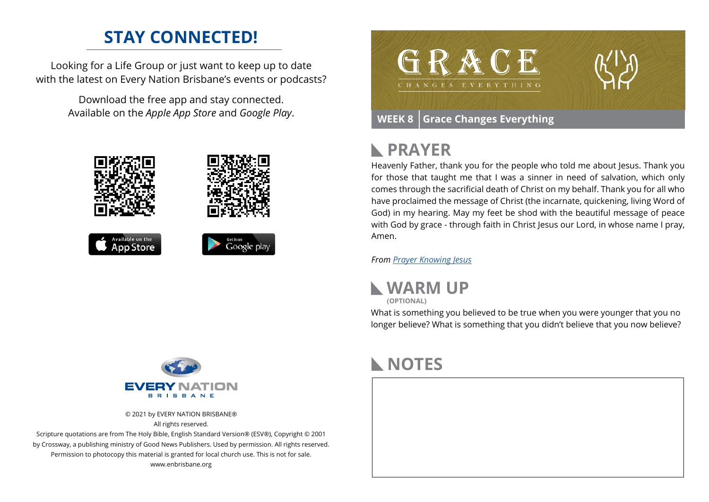## **STAY CONNECTED!**

Looking for a Life Group or just want to keep up to date with the latest on Every Nation Brisbane's events or podcasts?

> Download the free app and stay connected. Available on the *Apple App Store* and *Google Play*.





# **PRAYER**

Heavenly Father, thank you for the people who told me about Jesus. Thank you for those that taught me that I was a sinner in need of salvation, which only comes through the sacrificial death of Christ on my behalf. Thank you for all who have proclaimed the message of Christ (the incarnate, quickening, living Word of God) in my hearing. May my feet be shod with the beautiful message of peace with God by grace - through faith in Christ Jesus our Lord, in whose name I pray, Amen.

*From [Prayer](https://prayer.knowing-jesus.com/Romans/10) Knowing Jesus*



What is something you believed to be true when you were younger that you no longer believe? What is something that you didn't believe that you now believe?



© 2021 by EVERY NATION BRISBANE® All rights reserved.

Scripture quotations are from The Holy Bible, English Standard Version® (ESV®), Copyright © 2001 by Crossway, a publishing ministry of Good News Publishers. Used by permission. All rights reserved. Permission to photocopy this material is granted for local church use. This is not for sale. www.enbrisbane.org

## **NOTES**